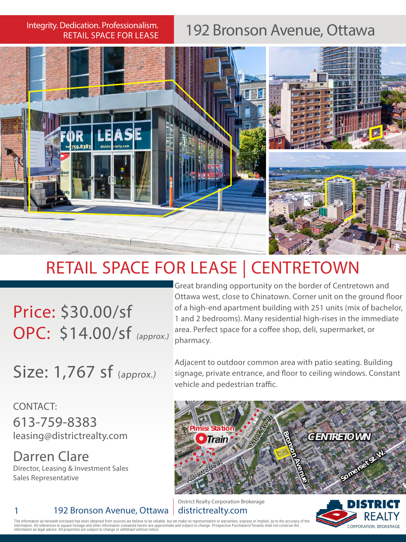RETAIL SPACE FOR LEASE

## Integrity. Dedication. Professionalism. | 192 Bronson Avenue, Ottawa



## RETAIL SPACE FOR LEASE | CENTRETOWN

Price: \$30.00/sf OPC: \$14.00/sf (approx.)

Great branding opportunity on the border of Centretown and<br>Ottawa west, close to Chinatown. Corner unit on the ground fl<br>of a high-end apartment building with 251 units (mix of bache<br>1 and 2 bedrooms). Many residential hig Ottawa west, close to Chinatown. Corner unit on the ground floor of a high-end apartment building with 251 units (mix of bachelor, 1 and 2 bedrooms). Many residential high-rises in the immediate area. Perfect space for a coffee shop, deli, supermarket, or pharmacy.

Size: 1,767 sf (approx.)

Adjacent to outdoor common area with patio seating. Building signage, private entrance, and floor to ceiling windows. Constant vehicle and pedestrian traffic.

CONTACT: 613-759-8383 leasing@districtrealty.com

Darren Clare Director, Leasing & Investment Sales Sales Representative

1 192 Bronson Avenue, Ottawa



District Realty Corporation Brokerage districtrealty.com



The information as herewith enclosed has been obtained from sources we believe to be reliable, but we make no representation or warranties, express or implied, as to the accuracy of the<br>information. All references to squar Information. All references to square footage and other information contained herein are<br>information as legal advice. All properties are subject to change or withdrawl without not